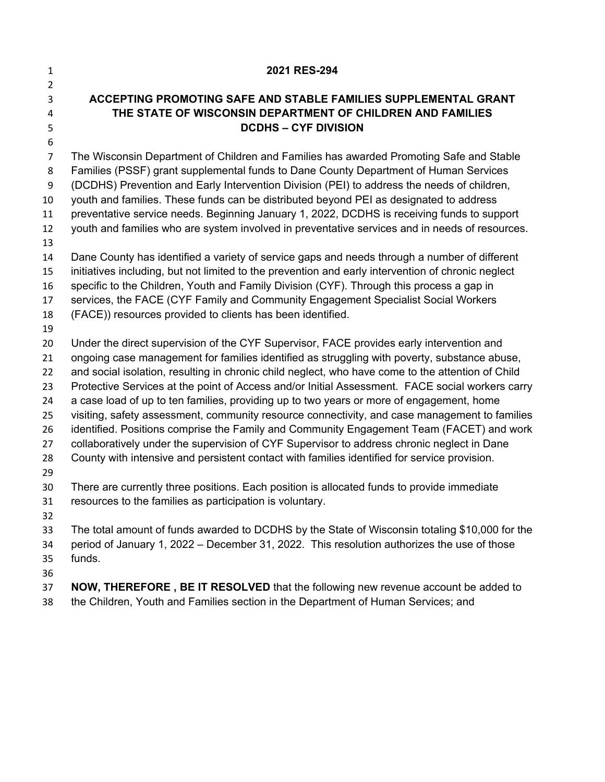| 1              | 2021 RES-294                                                                                                                  |
|----------------|-------------------------------------------------------------------------------------------------------------------------------|
| $\overline{2}$ |                                                                                                                               |
| 3              | ACCEPTING PROMOTING SAFE AND STABLE FAMILIES SUPPLEMENTAL GRANT<br>THE STATE OF WISCONSIN DEPARTMENT OF CHILDREN AND FAMILIES |
| 4<br>5         | <b>DCDHS-CYF DIVISION</b>                                                                                                     |
| 6              |                                                                                                                               |
| $\overline{7}$ | The Wisconsin Department of Children and Families has awarded Promoting Safe and Stable                                       |
| 8              | Families (PSSF) grant supplemental funds to Dane County Department of Human Services                                          |
| 9              | (DCDHS) Prevention and Early Intervention Division (PEI) to address the needs of children,                                    |
| 10             | youth and families. These funds can be distributed beyond PEI as designated to address                                        |
| 11             | preventative service needs. Beginning January 1, 2022, DCDHS is receiving funds to support                                    |
| 12             | youth and families who are system involved in preventative services and in needs of resources.                                |
| 13             |                                                                                                                               |
| 14             | Dane County has identified a variety of service gaps and needs through a number of different                                  |
| 15             | initiatives including, but not limited to the prevention and early intervention of chronic neglect                            |
| 16             | specific to the Children, Youth and Family Division (CYF). Through this process a gap in                                      |
| 17             | services, the FACE (CYF Family and Community Engagement Specialist Social Workers                                             |
| 18             | (FACE)) resources provided to clients has been identified.                                                                    |
| 19<br>20       | Under the direct supervision of the CYF Supervisor, FACE provides early intervention and                                      |
| 21             | ongoing case management for families identified as struggling with poverty, substance abuse,                                  |
| 22             | and social isolation, resulting in chronic child neglect, who have come to the attention of Child                             |
| 23             | Protective Services at the point of Access and/or Initial Assessment. FACE social workers carry                               |
| 24             | a case load of up to ten families, providing up to two years or more of engagement, home                                      |
| 25             | visiting, safety assessment, community resource connectivity, and case management to families                                 |
| 26             | identified. Positions comprise the Family and Community Engagement Team (FACET) and work                                      |
| 27             | collaboratively under the supervision of CYF Supervisor to address chronic neglect in Dane                                    |
| 28             | County with intensive and persistent contact with families identified for service provision.                                  |
| 29             |                                                                                                                               |
| 30             | There are currently three positions. Each position is allocated funds to provide immediate                                    |
| 31             | resources to the families as participation is voluntary.                                                                      |
| 32             |                                                                                                                               |
| 33             | The total amount of funds awarded to DCDHS by the State of Wisconsin totaling \$10,000 for the                                |
| 34<br>35       | period of January 1, 2022 – December 31, 2022. This resolution authorizes the use of those<br>funds.                          |
| 36             |                                                                                                                               |
| 37             | <b>NOW, THEREFORE, BE IT RESOLVED</b> that the following new revenue account be added to                                      |
| 38             | the Children, Youth and Families section in the Department of Human Services; and                                             |